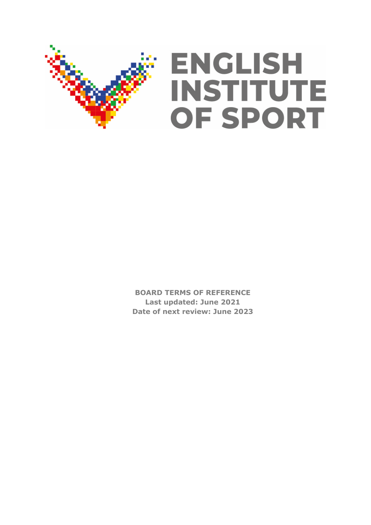

**BOARD TERMS OF REFERENCE Last updated: June 2021 Date of next review: June 2023**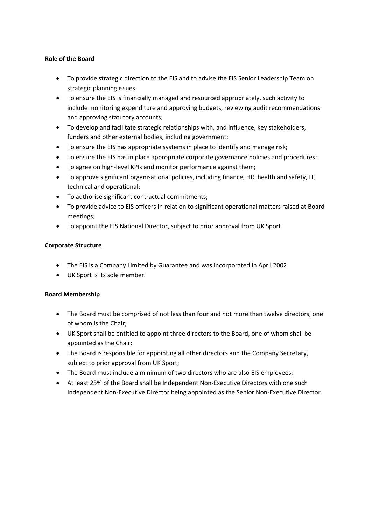# **Role of the Board**

- To provide strategic direction to the EIS and to advise the EIS Senior Leadership Team on strategic planning issues;
- To ensure the EIS is financially managed and resourced appropriately, such activity to include monitoring expenditure and approving budgets, reviewing audit recommendations and approving statutory accounts;
- To develop and facilitate strategic relationships with, and influence, key stakeholders, funders and other external bodies, including government;
- To ensure the EIS has appropriate systems in place to identify and manage risk;
- To ensure the EIS has in place appropriate corporate governance policies and procedures;
- To agree on high-level KPIs and monitor performance against them;
- To approve significant organisational policies, including finance, HR, health and safety, IT, technical and operational;
- To authorise significant contractual commitments;
- To provide advice to EIS officers in relation to significant operational matters raised at Board meetings;
- To appoint the EIS National Director, subject to prior approval from UK Sport.

### **Corporate Structure**

- The EIS is a Company Limited by Guarantee and was incorporated in April 2002.
- UK Sport is its sole member.

# **Board Membership**

- The Board must be comprised of not less than four and not more than twelve directors, one of whom is the Chair;
- UK Sport shall be entitled to appoint three directors to the Board, one of whom shall be appointed as the Chair;
- The Board is responsible for appointing all other directors and the Company Secretary, subject to prior approval from UK Sport;
- The Board must include a minimum of two directors who are also EIS employees;
- At least 25% of the Board shall be Independent Non-Executive Directors with one such Independent Non-Executive Director being appointed as the Senior Non-Executive Director.